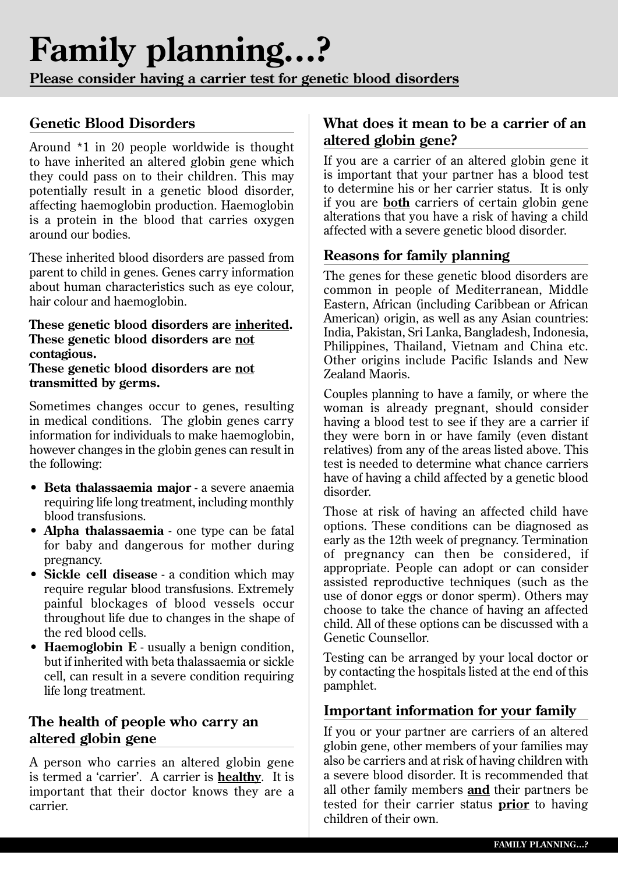# **Family planning...?**

**Please consider having a carrier test for genetic blood disorders**

# **Genetic Blood Disorders**

Around \*1 in 20 people worldwide is thought to have inherited an altered globin gene which they could pass on to their children. This may potentially result in a genetic blood disorder, affecting haemoglobin production. Haemoglobin is a protein in the blood that carries oxygen around our bodies.

These inherited blood disorders are passed from parent to child in genes. Genes carry information about human characteristics such as eye colour, hair colour and haemoglobin.

#### **These genetic blood disorders are inherited. These genetic blood disorders are not contagious. These genetic blood disorders are not**

**transmitted by germs.**

Sometimes changes occur to genes, resulting in medical conditions. The globin genes carry information for individuals to make haemoglobin, however changes in the globin genes can result in the following:

- • **Beta thalassaemia major** a severe anaemia requiring life long treatment, including monthly blood transfusions.
- • **Alpha thalassaemia** one type can be fatal for baby and dangerous for mother during pregnancy.
- • **Sickle cell disease** a condition which may require regular blood transfusions. Extremely painful blockages of blood vessels occur throughout life due to changes in the shape of the red blood cells.
- **Haemoglobin E** usually a benign condition, but if inherited with beta thalassaemia or sickle cell, can result in a severe condition requiring life long treatment.

# **The health of people who carry an altered globin gene**

A person who carries an altered globin gene is termed a 'carrier'. A carrier is **healthy**. It is important that their doctor knows they are a carrier.

## **What does it mean to be a carrier of an altered globin gene?**

If you are a carrier of an altered globin gene it is important that your partner has a blood test to determine his or her carrier status. It is only if you are **both** carriers of certain globin gene alterations that you have a risk of having a child affected with a severe genetic blood disorder.

## **Reasons for family planning**

The genes for these genetic blood disorders are common in people of Mediterranean, Middle Eastern, African (including Caribbean or African American) origin, as well as any Asian countries: India, Pakistan, Sri Lanka, Bangladesh, Indonesia, Philippines, Thailand, Vietnam and China etc. Other origins include Pacific Islands and New Zealand Maoris.

Couples planning to have a family, or where the woman is already pregnant, should consider having a blood test to see if they are a carrier if they were born in or have family (even distant relatives) from any of the areas listed above. This test is needed to determine what chance carriers have of having a child affected by a genetic blood disorder.

Those at risk of having an affected child have options. These conditions can be diagnosed as early as the 12th week of pregnancy. Termination of pregnancy can then be considered, if appropriate. People can adopt or can consider assisted reproductive techniques (such as the use of donor eggs or donor sperm). Others may choose to take the chance of having an affected child. All of these options can be discussed with a Genetic Counsellor.

Testing can be arranged by your local doctor or by contacting the hospitals listed at the end of this pamphlet.

## **Important information for your family**

If you or your partner are carriers of an altered globin gene, other members of your families may also be carriers and at risk of having children with a severe blood disorder. It is recommended that all other family members **and** their partners be tested for their carrier status **prior** to having children of their own.